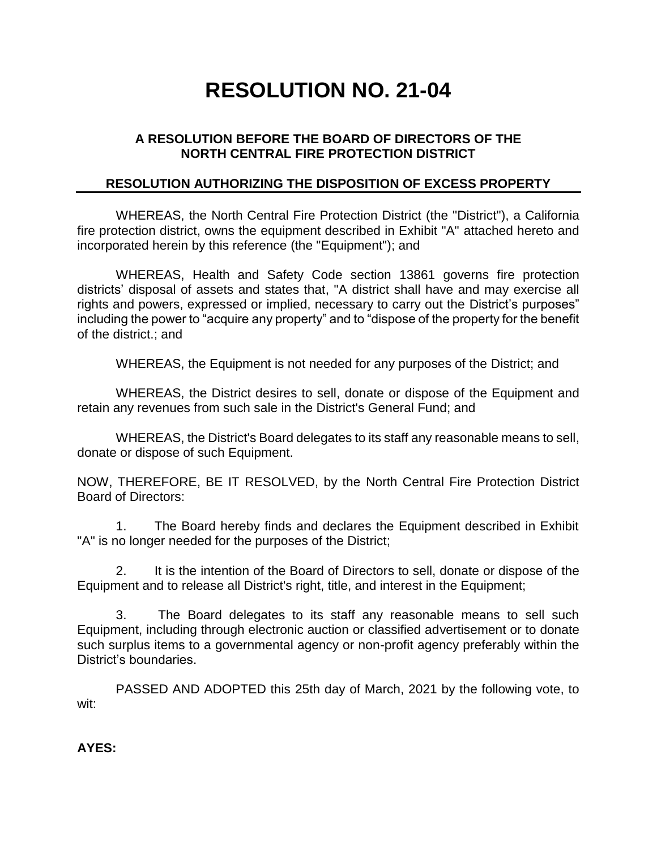## **RESOLUTION NO. 21-04**

## **A RESOLUTION BEFORE THE BOARD OF DIRECTORS OF THE NORTH CENTRAL FIRE PROTECTION DISTRICT**

## **RESOLUTION AUTHORIZING THE DISPOSITION OF EXCESS PROPERTY**

WHEREAS, the North Central Fire Protection District (the "District"), a California fire protection district, owns the equipment described in Exhibit "A" attached hereto and incorporated herein by this reference (the "Equipment"); and

WHEREAS, Health and Safety Code section 13861 governs fire protection districts' disposal of assets and states that, "A district shall have and may exercise all rights and powers, expressed or implied, necessary to carry out the District's purposes" including the power to "acquire any property" and to "dispose of the property for the benefit of the district.; and

WHEREAS, the Equipment is not needed for any purposes of the District; and

WHEREAS, the District desires to sell, donate or dispose of the Equipment and retain any revenues from such sale in the District's General Fund; and

WHEREAS, the District's Board delegates to its staff any reasonable means to sell, donate or dispose of such Equipment.

NOW, THEREFORE, BE IT RESOLVED, by the North Central Fire Protection District Board of Directors:

1. The Board hereby finds and declares the Equipment described in Exhibit "A" is no longer needed for the purposes of the District;

2. It is the intention of the Board of Directors to sell, donate or dispose of the Equipment and to release all District's right, title, and interest in the Equipment;

3. The Board delegates to its staff any reasonable means to sell such Equipment, including through electronic auction or classified advertisement or to donate such surplus items to a governmental agency or non-profit agency preferably within the District's boundaries.

PASSED AND ADOPTED this 25th day of March, 2021 by the following vote, to wit:

**AYES:**